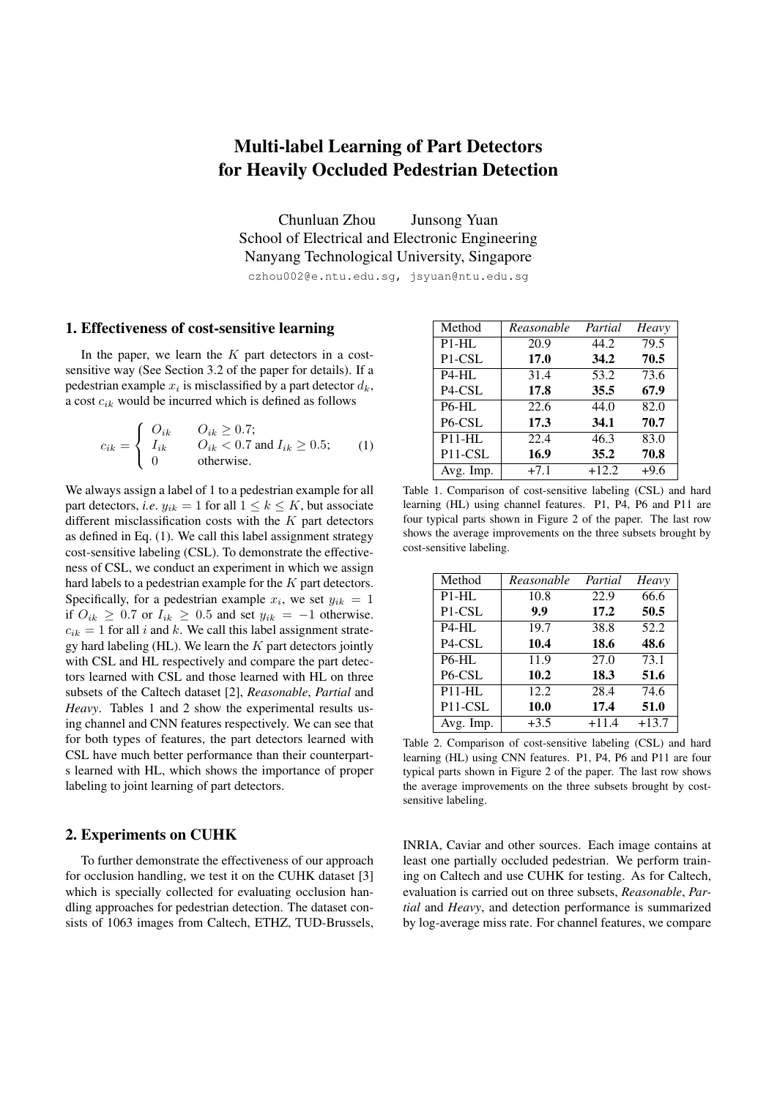## Multi-label Learning of Part Detectors for Heavily Occluded Pedestrian Detection

Chunluan Zhou Junsong Yuan School of Electrical and Electronic Engineering Nanyang Technological University, Singapore czhou002@e.ntu.edu.sg, jsyuan@ntu.edu.sg

## 1. Effectiveness of cost-sensitive learning

In the paper, we learn the *K* part detectors in a costsensitive way (See Section 3.2 of the paper for details). If a pedestrian example  $x_i$  is misclassified by a part detector  $d_k$ , a cost *cik* would be incurred which is defined as follows

$$
c_{ik} = \begin{cases} O_{ik} & O_{ik} \ge 0.7; \\ I_{ik} & O_{ik} < 0.7 \text{ and } I_{ik} \ge 0.5; \\ 0 & \text{otherwise.} \end{cases} \tag{1}
$$

We always assign a label of 1 to a pedestrian example for all part detectors, *i.e.*  $y_{ik} = 1$  for all  $1 \leq k \leq K$ , but associate different misclassification costs with the *K* part detectors as defined in Eq. (1). We call this label assignment strategy cost-sensitive labeling (CSL). To demonstrate the effectiveness of CSL, we conduct an experiment in which we assign hard labels to a pedestrian example for the *K* part detectors. Specifically, for a pedestrian example  $x_i$ , we set  $y_{ik} = 1$ if  $O_{ik}$  ≥ 0.7 or  $I_{ik}$  ≥ 0.5 and set  $y_{ik}$  = −1 otherwise.  $c_{ik} = 1$  for all *i* and *k*. We call this label assignment strategy hard labeling (HL). We learn the *K* part detectors jointly with CSL and HL respectively and compare the part detectors learned with CSL and those learned with HL on three subsets of the Caltech dataset [2], *Reasonable*, *Partial* and *Heavy*. Tables 1 and 2 show the experimental results using channel and CNN features respectively. We can see that for both types of features, the part detectors learned with CSL have much better performance than their counterparts learned with HL, which shows the importance of proper labeling to joint learning of part detectors.

## 2. Experiments on CUHK

To further demonstrate the effectiveness of our approach for occlusion handling, we test it on the CUHK dataset [3] which is specially collected for evaluating occlusion handling approaches for pedestrian detection. The dataset consists of 1063 images from Caltech, ETHZ, TUD-Brussels,

| Method                           | Reasonable | Partial | Heavy  |
|----------------------------------|------------|---------|--------|
| $P1-HL$                          | 20.9       | 44.2    | 79.5   |
| P <sub>1</sub> -C <sub>SL</sub>  | 17.0       | 34.2    | 70.5   |
| P <sub>4</sub> -HL               | 31.4       | 53.2    | 73.6   |
| P4-CSL                           | 17.8       | 35.5    | 67.9   |
| <b>P6-HL</b>                     | 22.6       | 44.0    | 82.0   |
| P <sub>6</sub> -CSL              | 17.3       | 34.1    | 70.7   |
| $P11-HL$                         | 22.4       | 46.3    | 83.0   |
| P <sub>11</sub> -C <sub>SL</sub> | 16.9       | 35.2    | 70.8   |
| Avg. Imp.                        | $+7.1$     | $+12.2$ | $+9.6$ |

Table 1. Comparison of cost-sensitive labeling (CSL) and hard learning (HL) using channel features. P1, P4, P6 and P11 are four typical parts shown in Figure 2 of the paper. The last row shows the average improvements on the three subsets brought by cost-sensitive labeling.

| Method                           | Reasonable | Partial | Heavy   |
|----------------------------------|------------|---------|---------|
| $P1-HL$                          | 10.8       | 22.9    | 66.6    |
| P <sub>1</sub> -C <sub>SL</sub>  | 9.9        | 17.2    | 50.5    |
| $P4-HL$                          | 19.7       | 38.8    | 52.2    |
| P <sub>4</sub> -C <sub>SL</sub>  | 10.4       | 18.6    | 48.6    |
| <b>P6-HL</b>                     | 11.9       | 27.0    | 73.1    |
| P <sub>6</sub> -CSL              | 10.2       | 18.3    | 51.6    |
| $P11-HL$                         | 12.2       | 28.4    | 74.6    |
| P <sub>11</sub> -C <sub>SL</sub> | 10.0       | 17.4    | 51.0    |
| Avg. Imp.                        | $+3.5$     | $+11.4$ | $+13.7$ |

Table 2. Comparison of cost-sensitive labeling (CSL) and hard learning (HL) using CNN features. P1, P4, P6 and P11 are four typical parts shown in Figure 2 of the paper. The last row shows the average improvements on the three subsets brought by costsensitive labeling.

INRIA, Caviar and other sources. Each image contains at least one partially occluded pedestrian. We perform training on Caltech and use CUHK for testing. As for Caltech, evaluation is carried out on three subsets, *Reasonable*, *Partial* and *Heavy*, and detection performance is summarized by log-average miss rate. For channel features, we compare